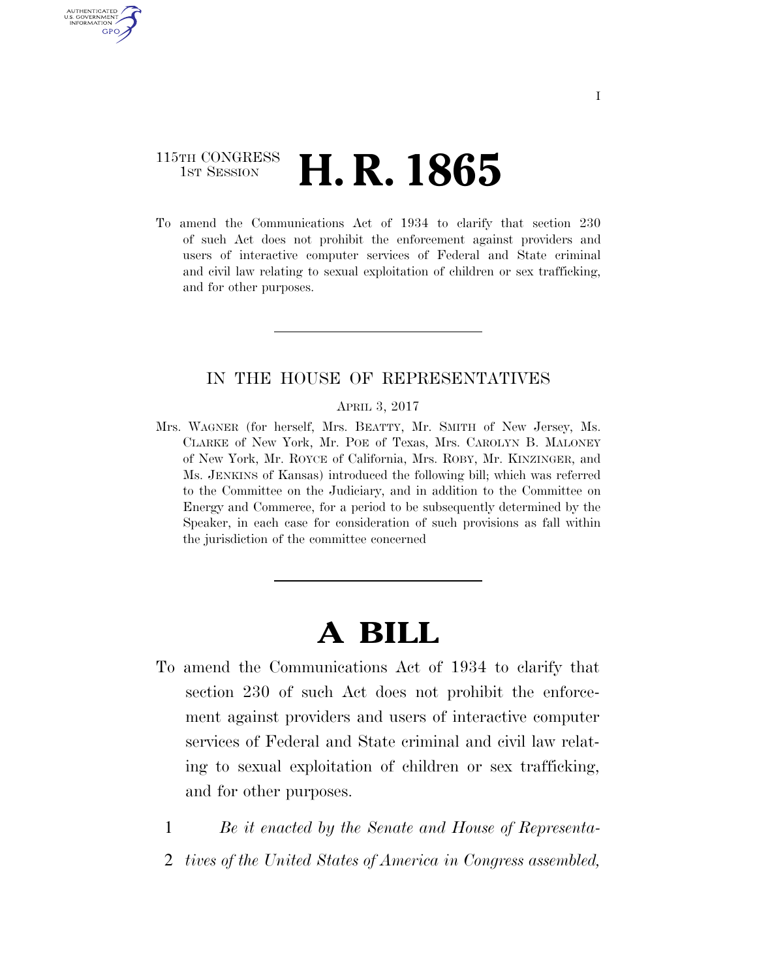# 115TH CONGRESS **1st Session H. R. 1865**

AUTHENTICATED U.S. GOVERNMENT GPO

> To amend the Communications Act of 1934 to clarify that section 230 of such Act does not prohibit the enforcement against providers and users of interactive computer services of Federal and State criminal and civil law relating to sexual exploitation of children or sex trafficking, and for other purposes.

## IN THE HOUSE OF REPRESENTATIVES

#### APRIL 3, 2017

Mrs. WAGNER (for herself, Mrs. BEATTY, Mr. SMITH of New Jersey, Ms. CLARKE of New York, Mr. POE of Texas, Mrs. CAROLYN B. MALONEY of New York, Mr. ROYCE of California, Mrs. ROBY, Mr. KINZINGER, and Ms. JENKINS of Kansas) introduced the following bill; which was referred to the Committee on the Judiciary, and in addition to the Committee on Energy and Commerce, for a period to be subsequently determined by the Speaker, in each case for consideration of such provisions as fall within the jurisdiction of the committee concerned

# **A BILL**

- To amend the Communications Act of 1934 to clarify that section 230 of such Act does not prohibit the enforcement against providers and users of interactive computer services of Federal and State criminal and civil law relating to sexual exploitation of children or sex trafficking, and for other purposes.
	- 1 *Be it enacted by the Senate and House of Representa-*
	- 2 *tives of the United States of America in Congress assembled,*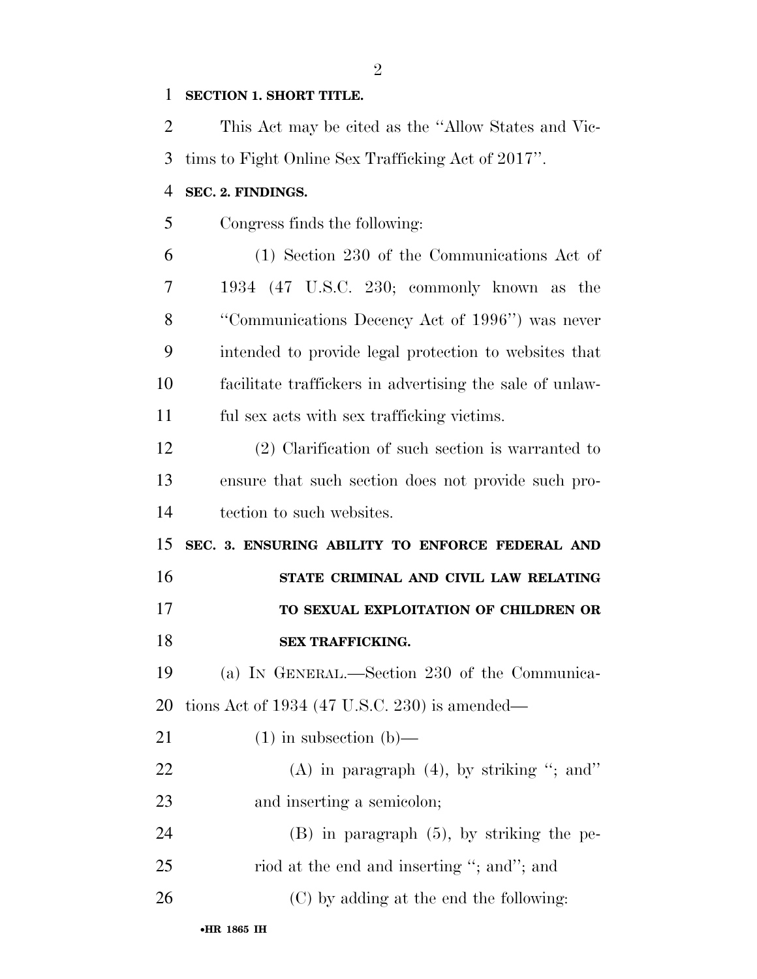### **SECTION 1. SHORT TITLE.**

 This Act may be cited as the ''Allow States and Vic- tims to Fight Online Sex Trafficking Act of 2017''. **SEC. 2. FINDINGS.**  Congress finds the following: (1) Section 230 of the Communications Act of 1934 (47 U.S.C. 230; commonly known as the ''Communications Decency Act of 1996'') was never intended to provide legal protection to websites that facilitate traffickers in advertising the sale of unlaw- ful sex acts with sex trafficking victims. (2) Clarification of such section is warranted to ensure that such section does not provide such pro- tection to such websites. **SEC. 3. ENSURING ABILITY TO ENFORCE FEDERAL AND STATE CRIMINAL AND CIVIL LAW RELATING TO SEXUAL EXPLOITATION OF CHILDREN OR SEX TRAFFICKING.**  (a) IN GENERAL.—Section 230 of the Communica- tions Act of 1934 (47 U.S.C. 230) is amended— 21 (1) in subsection  $(b)$ —  $(A)$  in paragraph  $(4)$ , by striking "; and" and inserting a semicolon; (B) in paragraph (5), by striking the pe-25 riod at the end and inserting "; and"; and (C) by adding at the end the following: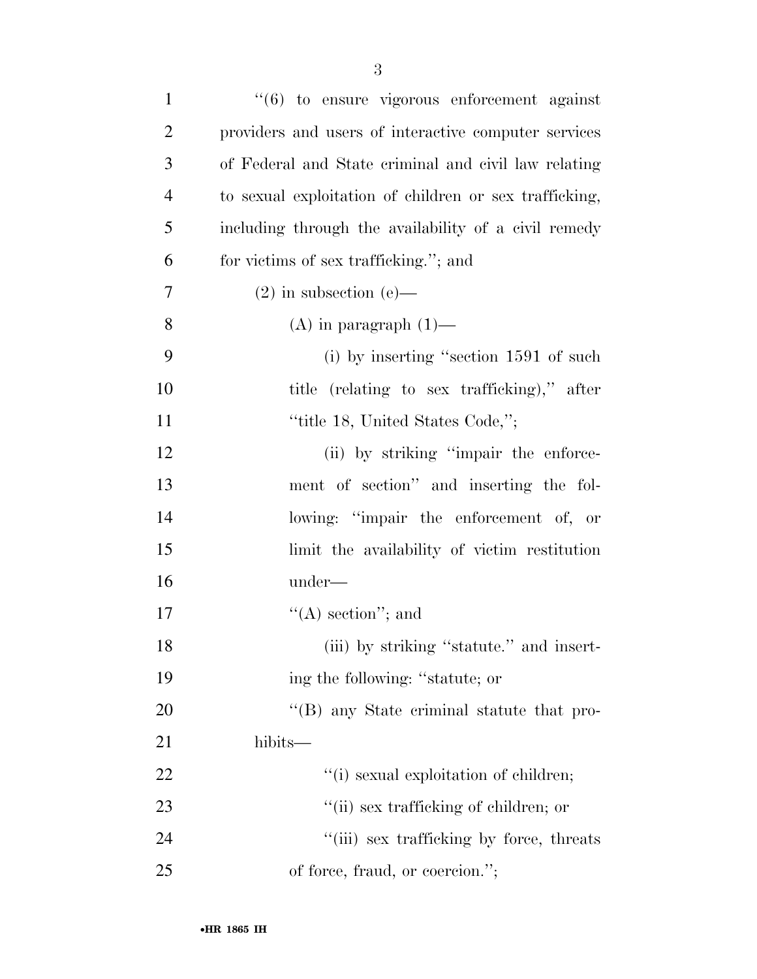| $\mathbf{1}$   | $\cdot\cdot\cdot(6)$ to ensure vigorous enforcement against |
|----------------|-------------------------------------------------------------|
| $\overline{2}$ | providers and users of interactive computer services        |
| 3              | of Federal and State criminal and civil law relating        |
| $\overline{4}$ | to sexual exploitation of children or sex trafficking,      |
| 5              | including through the availability of a civil remedy        |
| 6              | for victims of sex trafficking."; and                       |
| 7              | $(2)$ in subsection $(e)$ —                                 |
| 8              | $(A)$ in paragraph $(1)$ —                                  |
| 9              | $(i)$ by inserting "section 1591 of such                    |
| 10             | title (relating to sex trafficking)," after                 |
| 11             | "title 18, United States Code,";                            |
| 12             | (ii) by striking "impair the enforce-                       |
| 13             | ment of section" and inserting the fol-                     |
| 14             | lowing: "impair the enforcement of, or                      |
| 15             | limit the availability of victim restitution                |
| 16             | under—                                                      |
| 17             | $\lq\lq$ section"; and                                      |
| 18             | (iii) by striking "statute." and insert-                    |
| 19             | ing the following: "statute; or                             |
| 20             | "(B) any State criminal statute that pro-                   |
| 21             | hibits—                                                     |
| 22             | "(i) sexual exploitation of children;                       |
| 23             | "(ii) sex trafficking of children; or                       |
| 24             | "(iii) sex trafficking by force, threats                    |
| 25             | of force, fraud, or coercion.";                             |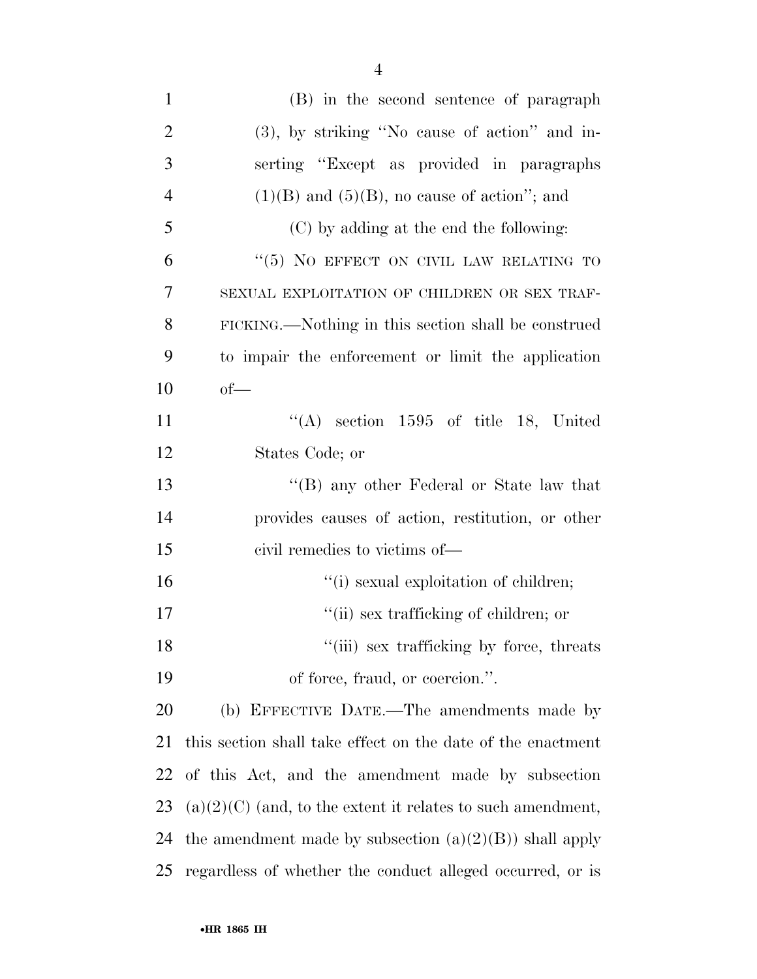| $\mathbf{1}$   | (B) in the second sentence of paragraph                       |
|----------------|---------------------------------------------------------------|
| $\overline{2}$ | (3), by striking "No cause of action" and in-                 |
| 3              | serting "Except as provided in paragraphs"                    |
| $\overline{4}$ | $(1)(B)$ and $(5)(B)$ , no cause of action"; and              |
| 5              | (C) by adding at the end the following:                       |
| 6              | "(5) NO EFFECT ON CIVIL LAW RELATING TO                       |
| 7              | SEXUAL EXPLOITATION OF CHILDREN OR SEX TRAF-                  |
| 8              | FICKING.—Nothing in this section shall be construed           |
| 9              | to impair the enforcement or limit the application            |
| 10             | $of$ —                                                        |
| 11             | $\lq\lq$ section 1595 of title 18, United                     |
| 12             | States Code; or                                               |
| 13             | "(B) any other Federal or State law that                      |
| 14             | provides causes of action, restitution, or other              |
| 15             | civil remedies to victims of—                                 |
| 16             | "(i) sexual exploitation of children;                         |
| 17             | "(ii) sex trafficking of children; or                         |
| 18             | "(iii) sex trafficking by force, threats                      |
| 19             | of force, fraud, or coercion.".                               |
| 20             | (b) EFFECTIVE DATE.—The amendments made by                    |
| 21             | this section shall take effect on the date of the enactment   |
| 22             | of this Act, and the amendment made by subsection             |
| 23             | $(a)(2)(C)$ (and, to the extent it relates to such amendment, |
| 24             | the amendment made by subsection $(a)(2)(B)$ shall apply      |
| 25             | regardless of whether the conduct alleged occurred, or is     |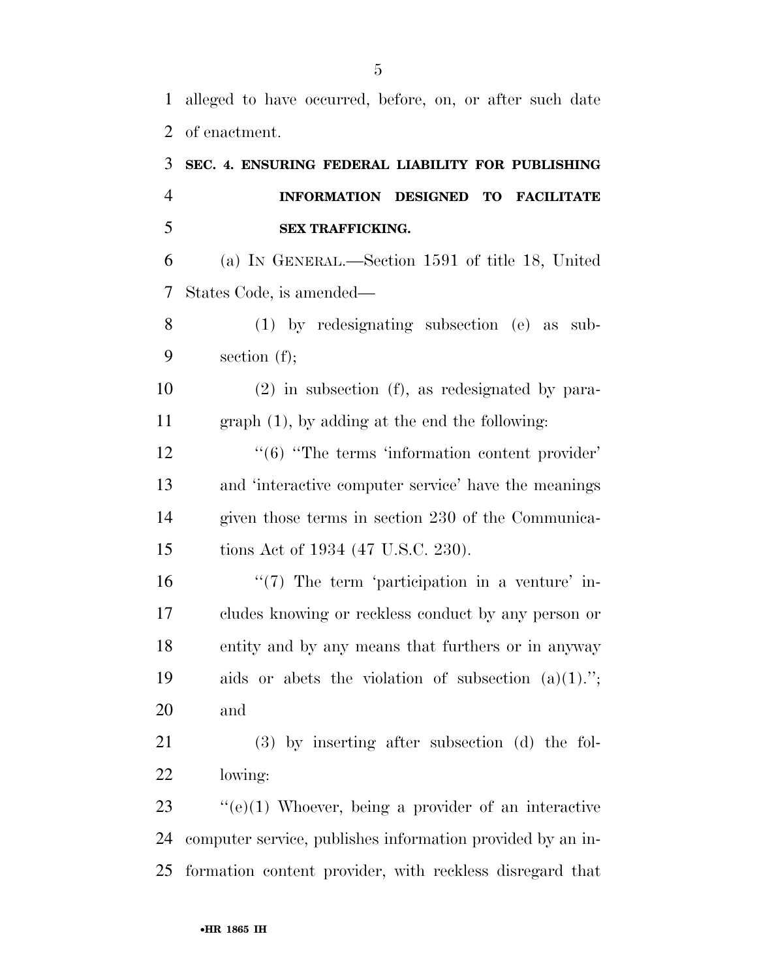alleged to have occurred, before, on, or after such date of enactment.

| 3              | SEC. 4. ENSURING FEDERAL LIABILITY FOR PUBLISHING                                |
|----------------|----------------------------------------------------------------------------------|
| $\overline{4}$ | INFORMATION DESIGNED<br><b>TO FACILITATE</b>                                     |
| 5              | <b>SEX TRAFFICKING.</b>                                                          |
| 6              | (a) IN GENERAL.—Section 1591 of title 18, United                                 |
| 7              | States Code, is amended—                                                         |
| 8              | $(1)$ by redesignating subsection (e) as sub-                                    |
| 9              | section $(f)$ ;                                                                  |
| 10             | $(2)$ in subsection $(f)$ , as redesignated by para-                             |
| 11             | $graph(1)$ , by adding at the end the following:                                 |
| 12             | $\cdot\cdot\cdot$ (6) $\cdot\cdot\cdot$ The terms 'information content provider' |
| 13             | and 'interactive computer service' have the meanings                             |
| 14             | given those terms in section 230 of the Communica-                               |
| 15             | tions Act of 1934 (47 U.S.C. 230).                                               |
| 16             | $\lq(7)$ The term 'participation in a venture' in-                               |
| 17             | cludes knowing or reckless conduct by any person or                              |
| 18             | entity and by any means that furthers or in anyway                               |
| 19             | aids or abets the violation of subsection $(a)(1)$ .";                           |
| 20             | and                                                                              |
| 21             | $(3)$ by inserting after subsection $(d)$ the fol-                               |
| 22             | lowing:                                                                          |
| 23             | $\lq\lq (e)(1)$ Whoever, being a provider of an interactive                      |
| 24             | computer service, publishes information provided by an in-                       |

formation content provider, with reckless disregard that